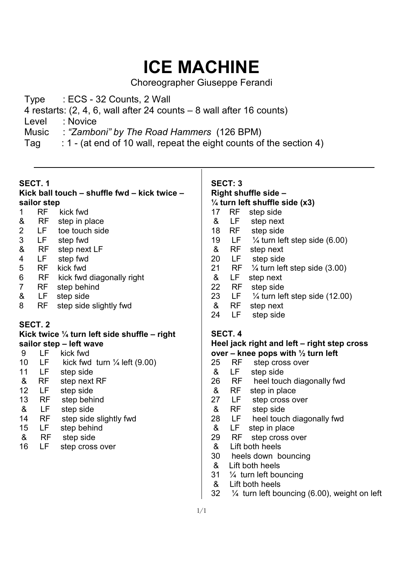# **ICE MACHINE**

Choreographer Giuseppe Ferandi

Type : ECS - 32 Counts, 2 Wall

4 restarts: (2, 4, 6, wall after 24 counts – 8 wall after 16 counts)

- Level : Novice
- Music : *"Zamboni" by The Road Hammers* (126 BPM)
- Tag : 1 (at end of 10 wall, repeat the eight counts of the section 4)

### **SECT. 1**

#### **Kick ball touch – shuffle fwd – kick twice – sailor step**  1 RF kick fwd

- 
- & RF step in place<br>2 LF toe touch sid LF toe touch side
- 
- 3 LF step fwd<br>& RF step next RF step next LF
- 4 LF step fwd
- 5 RF kick fwd
- 6 RF kick fwd diagonally right
- 7 RF step behind
- & LF step side
- 8 RF step side slightly fwd

# **SECT. 2**

#### **Kick twice ¼ turn left side shuffle – right sailor step – left wave**

- 9 LF kick fwd<br>10 LF kick fwd
- 10 LF kick fwd turn  $\frac{1}{4}$  left (9.00)
- 11 LF step side
- & RF step next RF
- 12 LF step side
- 13 RF step behind
- & LF step side
- 14 RF step side slightly fwd
- 15 LF step behind
- & RF step side
- 16 LF step cross over

# **SECT: 3 Right shuffle side – ¼ turn left shuffle side (x3)**  17 RF step side & LF step next 18 RF step side 19 LF  $\frac{1}{4}$  turn left step side (6.00)<br>& RF step next & RF step next 20 LF step side 21 RF ¼ turn left step side (3.00) & LF step next 22 RF step side 23 LF  $\frac{1}{4}$  turn left step side (12.00) & RF step next 24 LF step side **SECT. 4 Heel jack right and left – right step cross over – knee pops with ½ turn left**  25 RF step cross over & LF step side 26 RF heel touch diagonally fwd & RF step in place<br>27 LF step cross of step cross over

- & RF step side
- 28 LF heel touch diagonally fwd
- & LF step in place
- 29 RF step cross over
- & Lift both heels
- 30 heels down bouncing
- & Lift both heels
- 31 ¼ turn left bouncing
- & Lift both heels
- 32 ¼ turn left bouncing (6.00), weight on left